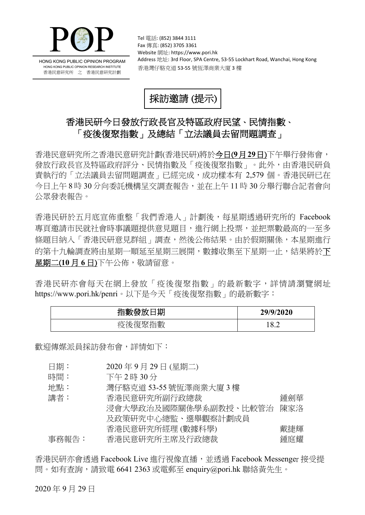

HONG KONG PUBLIC OPINION PROGRAM HONG KONG PUBLIC OPINION RESEARCH INSTITUTE 香港民意研究所 之 香港民意研究計劃

Tel 電話: (852) 3844 3111 Fax 傳真: (852) 3705 3361 Website 網址: https://www.pori.hk Address 地址: 3rd Floor, SPA Centre, 53-55 Lockhart Road, Wanchai, Hong Kong 香港灣仔駱克道 53-55 號恆澤商業大廈 3 樓



## 香港民研今日發放行政長官及特區政府民望、民情指數、 「疫後復聚指數」及總結「立法議員去留問題調査」

香港民意研究所之香港民意研究計劃(香港民研)將於今日(**9**月**29**日)下午舉行發佈會, 發放行政長官及特區政府評分、民情指數及「疫後復聚指數」。此外,由香港民研負 責執行的「立法議員去留問題調查」已經完成,成功樣本有 2,579個。香港民研已在 今日上午 8 時 30 分向委託機構呈交調查報告,並在上午 11 時 30 分舉行聯合記者會向 公眾發表報告。

香港民研於五月底宣佈重整「我們香港人」計劃後,每星期透過研究所的 Facebook 專頁邀請市民就社會時事議題提供意見題目,進行網上投票,並把票數最高的一至多 條題目納入「香港民研意見群組」調查,然後公佈結果。由於假期關係,本星期進行 的第十九輪調查將由星期一順延至星期三展開,數據收集至下星期一止,結果將於下 星期二(**10** 月 **6** 日)下午公佈,敬請留意。

香港民研亦會每天在網上發放「疫後復聚指數」的最新數字,詳情請瀏覽網址 https://www.pori.hk/penri。以下是今天「疫後復聚指數」的最新數字:

| 目期<br>指數發放 | 29/9/2020          |
|------------|--------------------|
| 復聚指數<br>疫後 | I Q.<br>╭<br>. O.Z |

歡迎傳媒派員採訪發布會,詳情如下:

- 日期: 2020 年 9 月 29 日 (星期二)
- 時間: 下午 2 時 30 分
- 地點: 灣仔駱克道 53-55 號恆澤商業大廈 3 樓
- 講者: 香港民意研究所副行政總裁 鍾劍華 浸會大學政治及國際關係學系副教授、比較管治 及政策研究中心總監、選舉觀察計劃成員 香港民意研究所經理 (數據科學) 陳家洛 戴捷輝 事務報告: 香港民意研究所主席及行政總裁 有效的 经 经庭耀

香港民研亦會透過 Facebook Live 進行視像直播, 並透過 Facebook Messenger 接受提 問。如有查詢,請致電 6641 2363 或電郵至 enquiry@pori.hk 聯絡黃先生。

2020 年 9 月 29 日